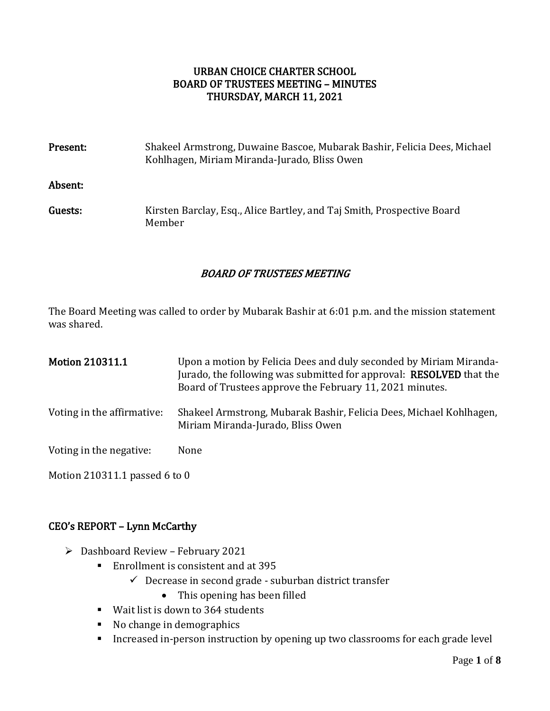# URBAN CHOICE CHARTER SCHOOL BOARD OF TRUSTEES MEETING – MINUTES THURSDAY, MARCH 11, 2021

| Present: | Shakeel Armstrong, Duwaine Bascoe, Mubarak Bashir, Felicia Dees, Michael<br>Kohlhagen, Miriam Miranda-Jurado, Bliss Owen |
|----------|--------------------------------------------------------------------------------------------------------------------------|
| Absent:  |                                                                                                                          |
| Guests:  | Kirsten Barclay, Esq., Alice Bartley, and Taj Smith, Prospective Board<br>Member                                         |

# BOARD OF TRUSTEES MEETING

The Board Meeting was called to order by Mubarak Bashir at 6:01 p.m. and the mission statement was shared.

| <b>Motion 210311.1</b>     | Upon a motion by Felicia Dees and duly seconded by Miriam Miranda-<br>Jurado, the following was submitted for approval: <b>RESOLVED</b> that the<br>Board of Trustees approve the February 11, 2021 minutes. |
|----------------------------|--------------------------------------------------------------------------------------------------------------------------------------------------------------------------------------------------------------|
| Voting in the affirmative: | Shakeel Armstrong, Mubarak Bashir, Felicia Dees, Michael Kohlhagen,<br>Miriam Miranda-Jurado, Bliss Owen                                                                                                     |
| Voting in the negative:    | None                                                                                                                                                                                                         |
|                            |                                                                                                                                                                                                              |

Motion 210311.1 passed 6 to 0

# CEO's REPORT – Lynn McCarthy

- ➢ Dashboard Review February 2021
	- Enrollment is consistent and at 395
		- $\checkmark$  Decrease in second grade suburban district transfer
			- This opening has been filled
	- Wait list is down to 364 students
	- No change in demographics
	- Increased in-person instruction by opening up two classrooms for each grade level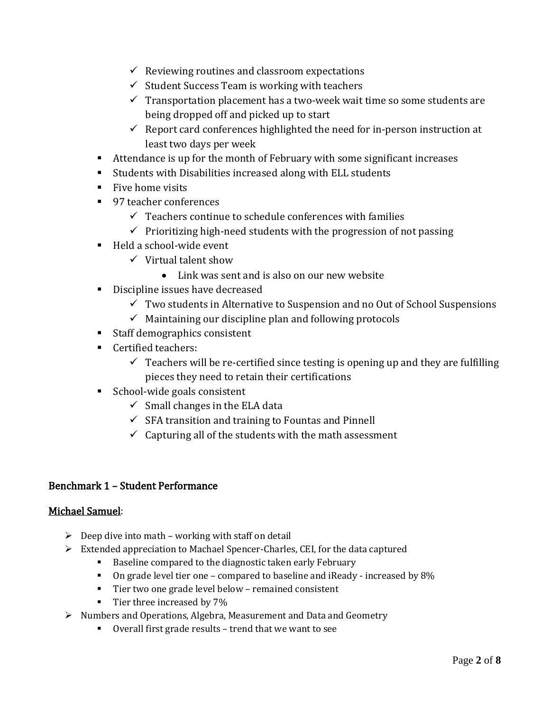- $\checkmark$  Reviewing routines and classroom expectations
- $\checkmark$  Student Success Team is working with teachers
- $\checkmark$  Transportation placement has a two-week wait time so some students are being dropped off and picked up to start
- $\checkmark$  Report card conferences highlighted the need for in-person instruction at least two days per week
- Attendance is up for the month of February with some significant increases
- Students with Disabilities increased along with ELL students
- Five home visits
- 97 teacher conferences
	- $\checkmark$  Teachers continue to schedule conferences with families
	- $\checkmark$  Prioritizing high-need students with the progression of not passing
- Held a school-wide event
	- $\checkmark$  Virtual talent show
		- Link was sent and is also on our new website
- Discipline issues have decreased
	- $\checkmark$  Two students in Alternative to Suspension and no Out of School Suspensions
	- $\checkmark$  Maintaining our discipline plan and following protocols
- Staff demographics consistent
- Certified teachers:
	- $\checkmark$  Teachers will be re-certified since testing is opening up and they are fulfilling pieces they need to retain their certifications
- School-wide goals consistent
	- $\checkmark$  Small changes in the ELA data
	- $\checkmark$  SFA transition and training to Fountas and Pinnell
	- $\checkmark$  Capturing all of the students with the math assessment

#### Benchmark 1 – Student Performance

#### Michael Samuel:

- $\triangleright$  Deep dive into math working with staff on detail
- $\triangleright$  Extended appreciation to Machael Spencer-Charles, CEI, for the data captured
	- Baseline compared to the diagnostic taken early February
	- On grade level tier one compared to baseline and iReady increased by 8%
	- Tier two one grade level below remained consistent
	- **•** Tier three increased by 7%
- ➢ Numbers and Operations, Algebra, Measurement and Data and Geometry
	- Overall first grade results trend that we want to see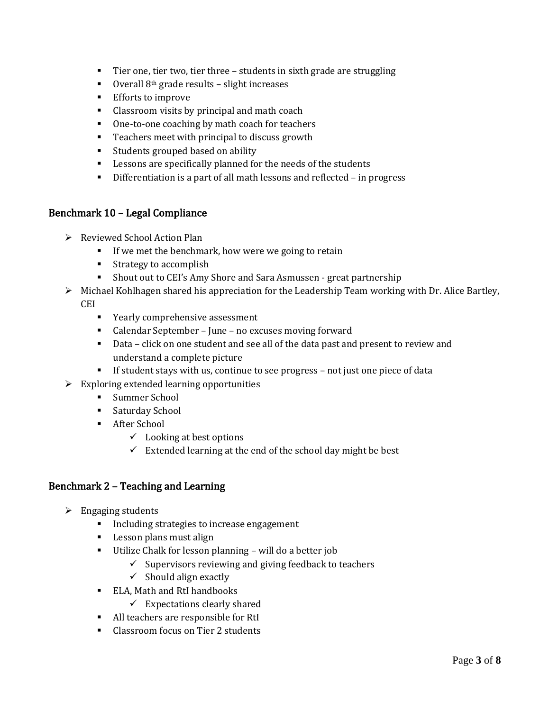- Tier one, tier two, tier three students in sixth grade are struggling
- Overall 8<sup>th</sup> grade results slight increases
- Efforts to improve
- Classroom visits by principal and math coach
- One-to-one coaching by math coach for teachers
- Teachers meet with principal to discuss growth
- Students grouped based on ability
- Lessons are specifically planned for the needs of the students
- Differentiation is a part of all math lessons and reflected in progress

### Benchmark 10 – Legal Compliance

- ➢ Reviewed School Action Plan
	- **■** If we met the benchmark, how were we going to retain
	- Strategy to accomplish
	- Shout out to CEI's Amy Shore and Sara Asmussen great partnership
- ➢ Michael Kohlhagen shared his appreciation for the Leadership Team working with Dr. Alice Bartley, CEI
	- Yearly comprehensive assessment
	- Calendar September June no excuses moving forward
	- Data click on one student and see all of the data past and present to review and understand a complete picture
	- **•** If student stays with us, continue to see progress not just one piece of data
- $\triangleright$  Exploring extended learning opportunities
	- Summer School
	- Saturday School
	- After School
		- $\checkmark$  Looking at best options
		- $\checkmark$  Extended learning at the end of the school day might be best

# Benchmark 2 – Teaching and Learning

- $\triangleright$  Engaging students
	- Including strategies to increase engagement
	- Lesson plans must align
	- Utilize Chalk for lesson planning will do a better job
		- $\checkmark$  Supervisors reviewing and giving feedback to teachers
		- $\checkmark$  Should align exactly
	- ELA, Math and RtI handbooks
		- $\checkmark$  Expectations clearly shared
	- All teachers are responsible for RtI
	- Classroom focus on Tier 2 students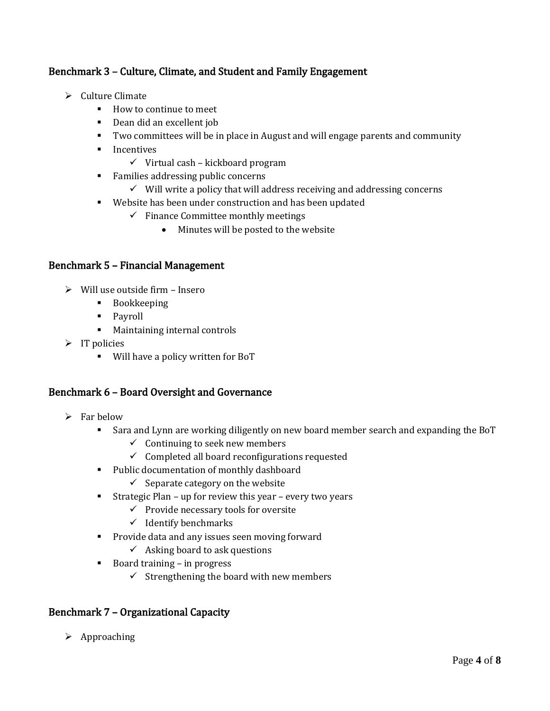# Benchmark 3 – Culture, Climate, and Student and Family Engagement

- ➢ Culture Climate
	- How to continue to meet
	- Dean did an excellent job
	- Two committees will be in place in August and will engage parents and community
	- Incentives
		- $\checkmark$  Virtual cash kickboard program
	- Families addressing public concerns
		- $\checkmark$  Will write a policy that will address receiving and addressing concerns
	- Website has been under construction and has been updated
		- $\checkmark$  Finance Committee monthly meetings
			- Minutes will be posted to the website

### Benchmark 5 – Financial Management

- ➢ Will use outside firm Insero
	- Bookkeeping
	- Payroll
	- Maintaining internal controls
- $\triangleright$  IT policies
	- Will have a policy written for BoT

#### Benchmark 6 – Board Oversight and Governance

- $\triangleright$  Far below
	- Sara and Lynn are working diligently on new board member search and expanding the BoT
		- $\checkmark$  Continuing to seek new members
		- $\checkmark$  Completed all board reconfigurations requested
	- Public documentation of monthly dashboard
		- $\checkmark$  Separate category on the website
	- **EXECUTE:** Strategic Plan up for review this year every two years
		- ✓ Provide necessary tools for oversite
		- $\checkmark$  Identify benchmarks
	- Provide data and any issues seen moving forward
		- $\checkmark$  Asking board to ask questions
	- Board training in progress
		- $\checkmark$  Strengthening the board with new members

#### Benchmark 7 – Organizational Capacity

➢ Approaching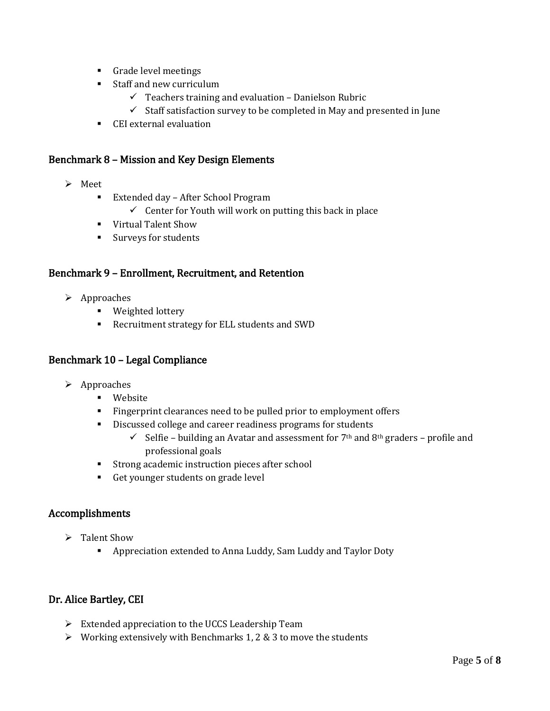- Grade level meetings
- Staff and new curriculum
	- $\checkmark$  Teachers training and evaluation Danielson Rubric
	- $\checkmark$  Staff satisfaction survey to be completed in May and presented in June
- CEI external evaluation

#### Benchmark 8 – Mission and Key Design Elements

- ➢ Meet
	- Extended day After School Program
		- $\checkmark$  Center for Youth will work on putting this back in place
	- Virtual Talent Show
	- Surveys for students

#### Benchmark 9 – Enrollment, Recruitment, and Retention

- ➢ Approaches
	- Weighted lottery
	- Recruitment strategy for ELL students and SWD

### Benchmark 10 – Legal Compliance

- ➢ Approaches
	- Website
	- Fingerprint clearances need to be pulled prior to employment offers
	- Discussed college and career readiness programs for students
		- $\checkmark$  Selfie building an Avatar and assessment for 7<sup>th</sup> and 8<sup>th</sup> graders profile and professional goals
	- Strong academic instruction pieces after school
	- Get younger students on grade level

#### Accomplishments

- ➢ Talent Show
	- Appreciation extended to Anna Luddy, Sam Luddy and Taylor Doty

#### Dr. Alice Bartley, CEI

- ➢ Extended appreciation to the UCCS Leadership Team
- $\triangleright$  Working extensively with Benchmarks 1, 2 & 3 to move the students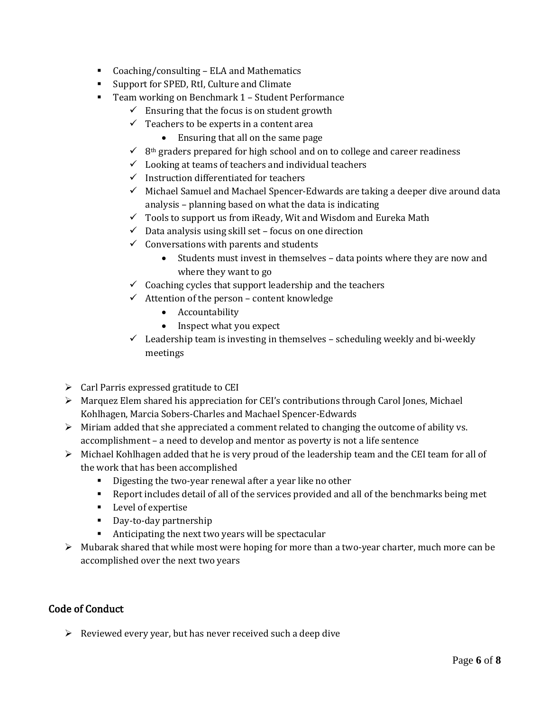- Coaching/consulting ELA and Mathematics
- Support for SPED, RtI, Culture and Climate
- Team working on Benchmark 1 Student Performance
	- $\checkmark$  Ensuring that the focus is on student growth
	- $\checkmark$  Teachers to be experts in a content area
		- Ensuring that all on the same page
	- $\checkmark$  8<sup>th</sup> graders prepared for high school and on to college and career readiness
	- $\checkmark$  Looking at teams of teachers and individual teachers
	- $\checkmark$  Instruction differentiated for teachers
	- $\checkmark$  Michael Samuel and Machael Spencer-Edwards are taking a deeper dive around data analysis – planning based on what the data is indicating
	- $\checkmark$  Tools to support us from iReady, Wit and Wisdom and Eureka Math
	- $\checkmark$  Data analysis using skill set focus on one direction
	- $\checkmark$  Conversations with parents and students
		- Students must invest in themselves data points where they are now and where they want to go
	- $\checkmark$  Coaching cycles that support leadership and the teachers
	- $\checkmark$  Attention of the person content knowledge
		- Accountability
		- Inspect what you expect
	- $\checkmark$  Leadership team is investing in themselves scheduling weekly and bi-weekly meetings
- $\triangleright$  Carl Parris expressed gratitude to CEI
- $\triangleright$  Marquez Elem shared his appreciation for CEI's contributions through Carol Jones, Michael Kohlhagen, Marcia Sobers-Charles and Machael Spencer-Edwards
- $\triangleright$  Miriam added that she appreciated a comment related to changing the outcome of ability vs. accomplishment – a need to develop and mentor as poverty is not a life sentence
- ➢ Michael Kohlhagen added that he is very proud of the leadership team and the CEI team for all of the work that has been accomplished
	- Digesting the two-year renewal after a year like no other
	- Report includes detail of all of the services provided and all of the benchmarks being met
	- Level of expertise
	- Day-to-day partnership
	- Anticipating the next two years will be spectacular
- ➢ Mubarak shared that while most were hoping for more than a two-year charter, much more can be accomplished over the next two years

# Code of Conduct

 $\triangleright$  Reviewed every year, but has never received such a deep dive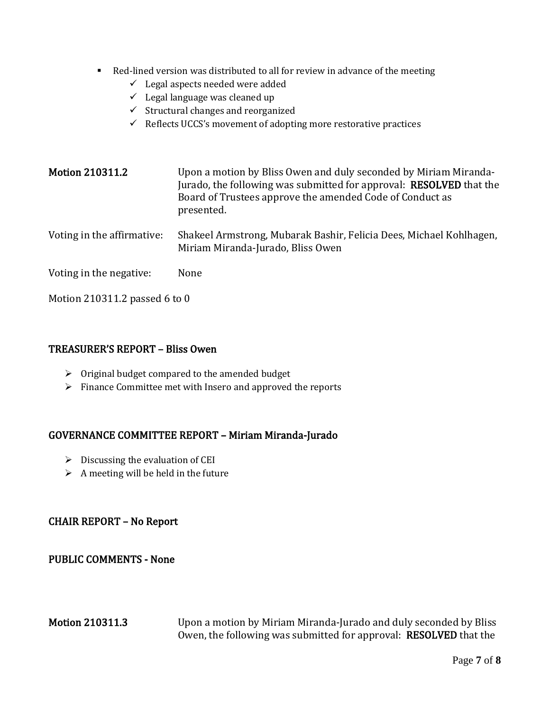- Red-lined version was distributed to all for review in advance of the meeting
	- $\checkmark$  Legal aspects needed were added
	- $\checkmark$  Legal language was cleaned up
	- ✓ Structural changes and reorganized
	- $\checkmark$  Reflects UCCS's movement of adopting more restorative practices

| <b>Motion 210311.2</b>     | Upon a motion by Bliss Owen and duly seconded by Miriam Miranda-<br>Jurado, the following was submitted for approval: RESOLVED that the<br>Board of Trustees approve the amended Code of Conduct as<br>presented. |
|----------------------------|-------------------------------------------------------------------------------------------------------------------------------------------------------------------------------------------------------------------|
| Voting in the affirmative: | Shakeel Armstrong, Mubarak Bashir, Felicia Dees, Michael Kohlhagen,<br>Miriam Miranda-Jurado, Bliss Owen                                                                                                          |
| Voting in the negative:    | None                                                                                                                                                                                                              |

Motion 210311.2 passed 6 to 0

### TREASURER'S REPORT – Bliss Owen

- ➢ Original budget compared to the amended budget
- ➢ Finance Committee met with Insero and approved the reports

# GOVERNANCE COMMITTEE REPORT – Miriam Miranda-Jurado

- $\triangleright$  Discussing the evaluation of CEI
- $\triangleright$  A meeting will be held in the future

# CHAIR REPORT – No Report

### PUBLIC COMMENTS - None

Motion 210311.3 Upon a motion by Miriam Miranda-Jurado and duly seconded by Bliss Owen, the following was submitted for approval: RESOLVED that the